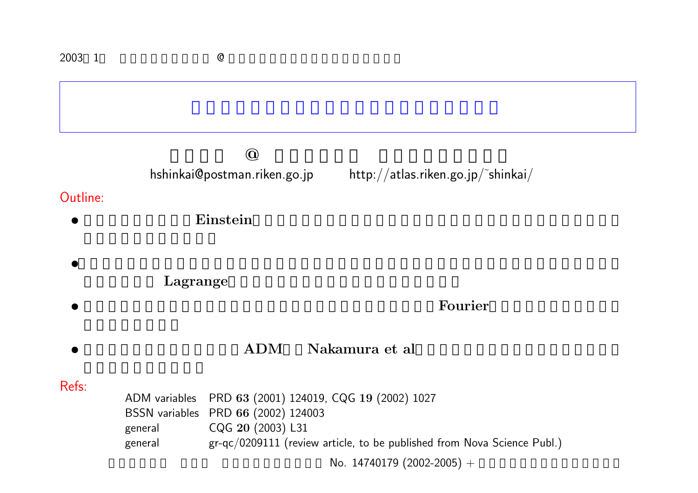| 2003 1   |                                                           | $\mathbb{Q}$                 |                                                                         |  |  |  |  |
|----------|-----------------------------------------------------------|------------------------------|-------------------------------------------------------------------------|--|--|--|--|
|          |                                                           |                              |                                                                         |  |  |  |  |
|          | $\textcircled{\scriptsize{0}}$                            |                              |                                                                         |  |  |  |  |
|          |                                                           | hshinkai@postman.riken.go.jp | http://atlas.riken.gov.jp/~shinkai/                                     |  |  |  |  |
| Outline: |                                                           |                              |                                                                         |  |  |  |  |
|          | Einstein                                                  |                              |                                                                         |  |  |  |  |
|          |                                                           |                              |                                                                         |  |  |  |  |
|          |                                                           |                              |                                                                         |  |  |  |  |
|          | Lagrange                                                  |                              |                                                                         |  |  |  |  |
|          | Fourier                                                   |                              |                                                                         |  |  |  |  |
|          | <b>ADM</b><br>Nakamura et al                              |                              |                                                                         |  |  |  |  |
|          |                                                           |                              |                                                                         |  |  |  |  |
| Refs:    | PRD 63 (2001) 124019, CQG 19 (2002) 1027<br>ADM variables |                              |                                                                         |  |  |  |  |
|          | BSSN variables  PRD 66 (2002) 124003                      |                              |                                                                         |  |  |  |  |
|          | general<br>general                                        | CQG 20 (2003) L31            | gr-qc/0209111 (review article, to be published from Nova Science Publ.) |  |  |  |  |
|          | No. 14740179 (2002-2005) +                                |                              |                                                                         |  |  |  |  |
|          |                                                           |                              |                                                                         |  |  |  |  |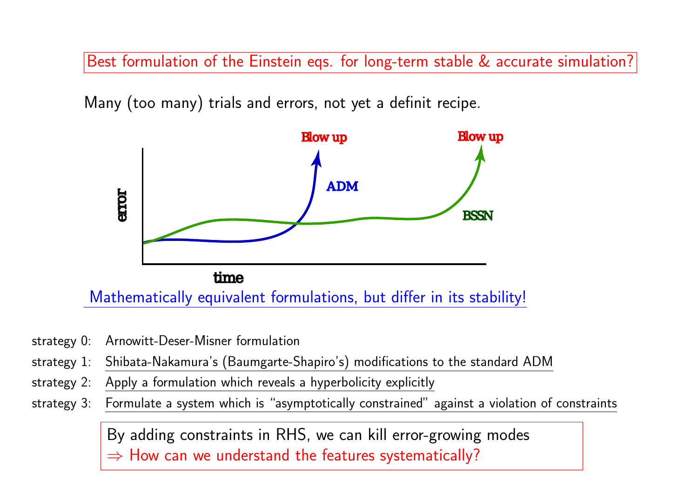Best formulation of the Einstein eqs. for long-term stable & accurate simulation?

Many (too many) trials and errors, not ye<sup>t</sup> <sup>a</sup> definit recipe.



- strategy 0: Arnowitt-Deser-Misner formulation
- strategy 1: Shibata-Nakamura's (Baumgarte-Shapiro's) modifications to the standard ADM
- strategy 2: Apply <sup>a</sup> formulation which reveals <sup>a</sup> hyperbolicity explicitly
- strategy 3: Formulate <sup>a</sup> system which is "asymptotically constrained" against <sup>a</sup> violation of constraints

By adding constraints in RHS, we can kill error-growing modes  $\Rightarrow$  How can we understand the features systematically?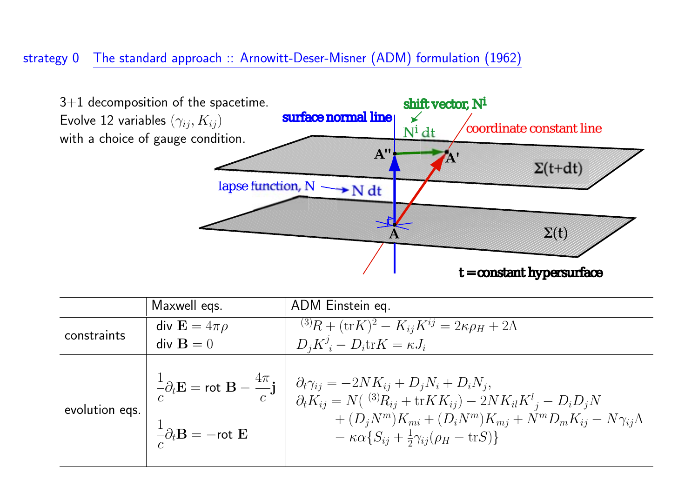### strategy <sup>0</sup> The standard approac<sup>h</sup> :: Arnowitt-Deser-Misner (ADM) formulation (1962)



|                | Maxwell egs.                                                 | ADM Einstein eq.                                                                                                                                                                                                                                                                                                                                                                                                                                        |
|----------------|--------------------------------------------------------------|---------------------------------------------------------------------------------------------------------------------------------------------------------------------------------------------------------------------------------------------------------------------------------------------------------------------------------------------------------------------------------------------------------------------------------------------------------|
| constraints    | div $\mathbf{E} = 4\pi\rho$                                  | $\overline{^{(3)}R + (\text{tr}K)^2} - K_{ij}K^{ij} = 2\kappa\rho_H + 2\Lambda$                                                                                                                                                                                                                                                                                                                                                                         |
|                | $div \mathbf{B} = 0$                                         | $D_i K^j_i - D_i \text{tr} K = \kappa J_i$                                                                                                                                                                                                                                                                                                                                                                                                              |
| evolution eqs. | $-\frac{1}{c}\partial_t \mathbf{B} = -\text{rot }\mathbf{E}$ | $\frac{1}{c}\partial_t \mathbf{E} = \mathsf{rot} \ \mathbf{B} - \frac{4\pi}{c}\mathbf{j} \ \left  \begin{array}{c} \partial_t \gamma_{ij} = -2 N K_{ij} + D_j N_i + D_i N_j, \\ \partial_t K_{ij} = N(\ ^{(3)}R_{ij} + \text{tr} K K_{ij}) - 2 N K_{il} K^l{}_j - D_i D_j N \end{array} \right.$<br>$+(D_iN^m)K_{mi}+(D_iN^m)K_{mj}+N^mD_mK_{ij}-N\gamma_{ij}\Lambda$<br>$-\kappa\alpha\left\{S_{ij}+\frac{1}{2}\gamma_{ij}(\rho_H-\text{tr}S)\right\}$ |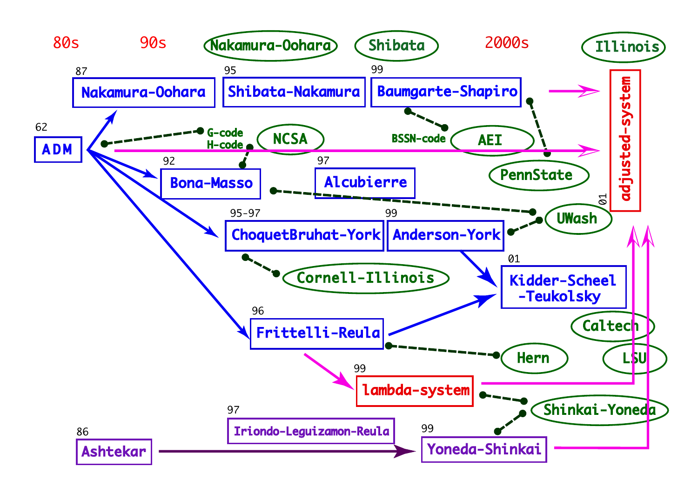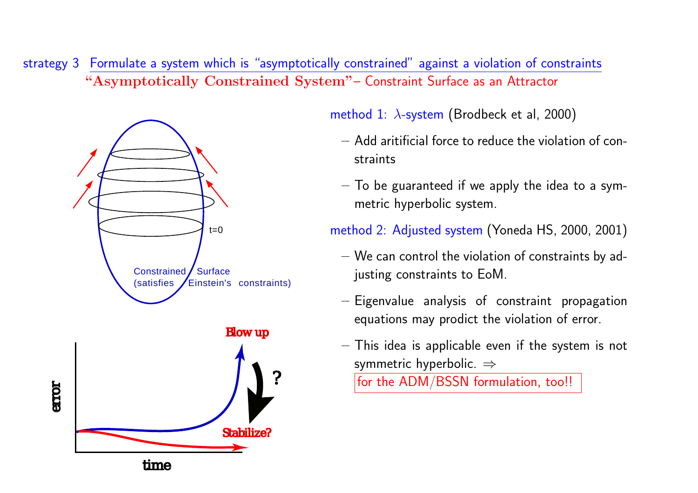strategy 3 Formulate <sup>a</sup> system which is "asymptotically constrained" against <sup>a</sup> violation of constraints **"Asymptotically Constrained System"** – Constraint Surface as an Attractor



method 1:  $\lambda$ -system (Brodbeck et al, 2000)

- **–** Add aritificial force to reduce the violation of constraints
- **–** To be guaranteed if we apply the idea to <sup>a</sup> symmetric hyperbolic system.

method 2: Adjusted system (Yoneda HS, 2000, 2001)

- **–** We can control the violation of constraints by adjusting constraints to EoM.
- **–** Eigenvalue analysis of constraint propagation equations may prodict the violation of error.
- **–** This idea is applicable even if the system is not symmetric hyperbolic.  $\Rightarrow$

for the ADM/BSSN formulation, too!!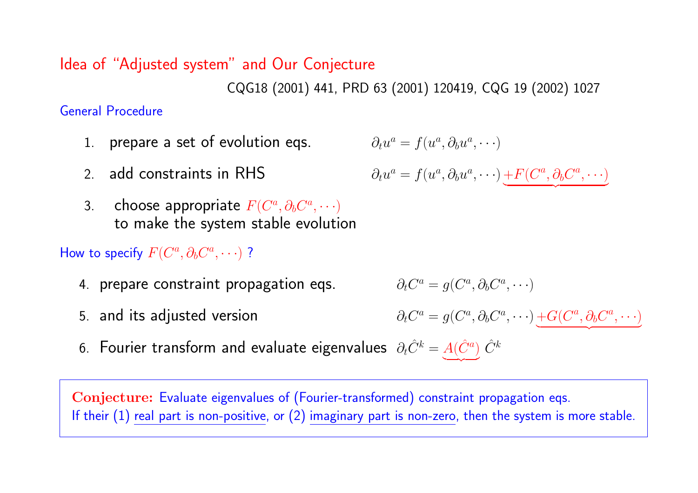## Idea of "Adjusted system" and Our Conjecture

CQG18 (2001) 441, PRD <sup>63</sup> (2001) 120419, CQG <sup>19</sup> (2002) <sup>1027</sup>

### General Procedure

- 1. prepare <sup>a</sup> set of evolution eqs.
- 2. add constraints in RHS
- 3. Choose appropriate  $F(C^a, \partial_b C^a, \cdots)$ to make the system stable evolution

### How to specify  $F(C^a, \partial_b C^a, \cdots)$  ?

- 4. prepare constraint propagation eqs.
- 5. and its adjusted version
	-
- 6. Fourier transform and evaluate eigenvalues  $\partial_t \hat{C}^k = \underbrace{A(\hat{C}^a)}$  $\hat{C}^k$

**Conjecture:** Evaluate eigenvalues of (Fourier-transformed) constraint propagation eqs. If their  $(1)$  real part is non-positive, or  $(2)$  imaginary part is non-zero, then the system is more stable.

$$
\partial_t u^a = f(u^a, \partial_b u^a, \cdots)
$$

$$
\partial_t u^a = f(u^a, \partial_b u^a, \cdots) \underbrace{+ F(C^a, \partial_b C^a, \cdots)}
$$

$$
\partial_t C^a = g(C^a, \partial_b C^a, \cdots)
$$

$$
\partial_t C^a = g(C^a, \partial_b C^a, \cdots) \underbrace{+ G(C^a, \partial_b C^a, \cdots)}
$$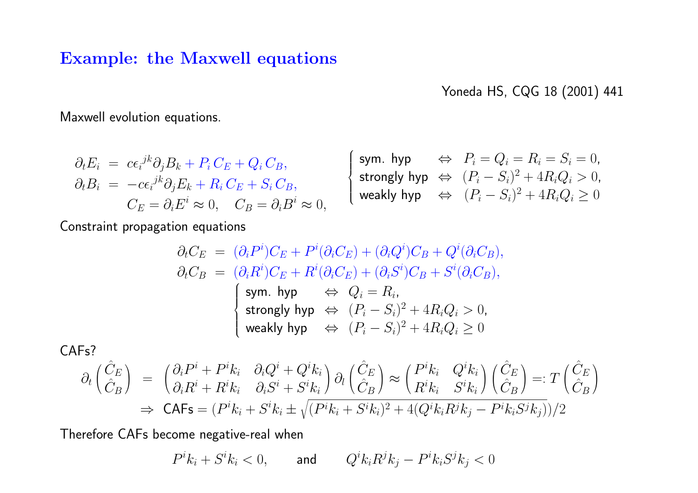### **Example: the Maxwell equations**

Yoneda HS, CQG <sup>18</sup> (2001) <sup>441</sup>

Maxwell evolution equations.

$$
\partial_t E_i = c \epsilon_i^{jk} \partial_j B_k + P_i C_E + Q_i C_B,
$$
\n
$$
\partial_t B_i = -c \epsilon_i^{jk} \partial_j E_k + R_i C_E + S_i C_B,
$$
\n
$$
\begin{cases}\n\text{sym. hyp} & \Leftrightarrow P_i = Q_i = R_i = S_i = 0, \\
\text{strongly hyp} & \Leftrightarrow (P_i - S_i)^2 + 4R_i Q_i > 0, \\
\text{weakly hyp} & \Leftrightarrow (P_i - S_i)^2 + 4R_i Q_i \ge 0\n\end{cases}
$$

Constraint propagation equations

$$
\partial_t C_E = (\partial_i P^i) C_E + P^i (\partial_i C_E) + (\partial_i Q^i) C_B + Q^i (\partial_i C_B),
$$
  
\n
$$
\partial_t C_B = (\partial_i R^i) C_E + R^i (\partial_i C_E) + (\partial_i S^i) C_B + S^i (\partial_i C_B),
$$
  
\n
$$
\begin{cases}\n\text{sym. hyp} & \Leftrightarrow Q_i = R_i, \\
\text{strongly hyp} & \Leftrightarrow (P_i - S_i)^2 + 4R_i Q_i > 0, \\
\text{weakly hyp} & \Leftrightarrow (P_i - S_i)^2 + 4R_i Q_i \ge 0\n\end{cases}
$$

CAFs?

$$
\partial_t \begin{pmatrix} \hat{C}_E \\ \hat{C}_B \end{pmatrix} = \begin{pmatrix} \partial_i P^i + P^i k_i & \partial_i Q^i + Q^i k_i \\ \partial_i R^i + R^i k_i & \partial_i S^i + S^i k_i \end{pmatrix} \partial_l \begin{pmatrix} \hat{C}_E \\ \hat{C}_B \end{pmatrix} \approx \begin{pmatrix} P^i k_i & Q^i k_i \\ R^i k_i & S^i k_i \end{pmatrix} \begin{pmatrix} \hat{C}_E \\ \hat{C}_B \end{pmatrix} =: T \begin{pmatrix} \hat{C}_E \\ \hat{C}_B \end{pmatrix}
$$
  
\n
$$
\Rightarrow \mathsf{CAFs} = (P^i k_i + S^i k_i \pm \sqrt{(P^i k_i + S^i k_i)^2 + 4(Q^i k_i R^j k_j - P^i k_i S^j k_j)})/2
$$

Therefore CAFs become negative-real when

 $P^i k_i + S^i k_i < 0, \qquad \textsf{and} \qquad Q^i k_i R^j k_j - P^i k_i S^j k_j < 0$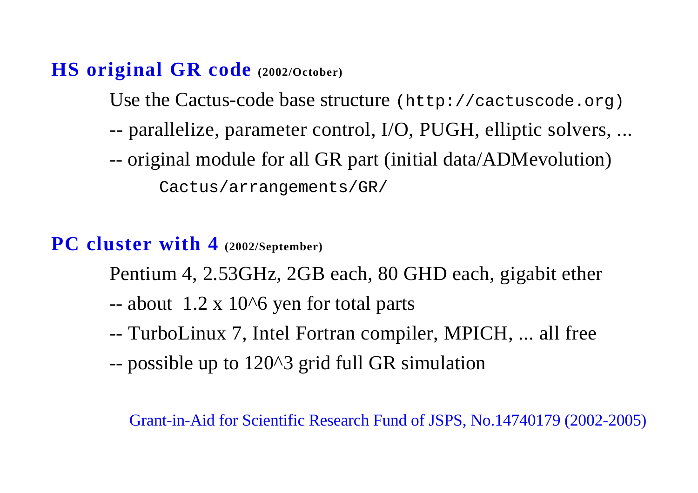# **HS original GR code (2002/October)**

Use the Cactus-code base structure (http://cactuscode.org)

- -- parallelize, parameter control, I/O, PUGH, elliptic solvers, ...
- -- original module for all GR part (initial data/ADMevolution)

Cactus/arrangements/GR/

## **PC cluster with 4 (2002/September)**

Pentium 4, 2.53GHz, 2GB each, 80 GHD each, gigabit ether

- $-$  about 1.2 x 10 $\textdegree$ 6 yen for total parts
- -- TurboLinux 7, Intel Fortran compiler, MPICH, ... all free
- -- possible up to 120^3 grid full GR simulation

Grant-in-Aid for Scientific Research Fund of JSPS, No.14740179 (2002-2005)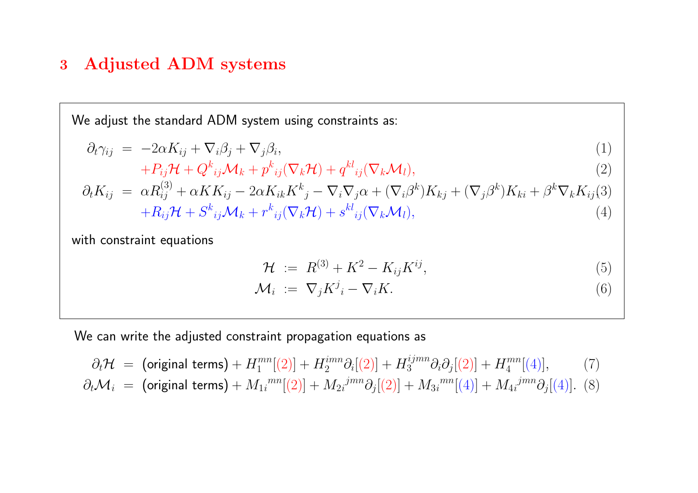### **<sup>3</sup> Adjusted ADM systems**

We adjust the standard ADM system using constraints as:

$$
\partial_t \gamma_{ij} = -2\alpha K_{ij} + \nabla_i \beta_j + \nabla_j \beta_i, \tag{1}
$$

$$
+P_{ij}\mathcal{H}+Q_{ij}^k\mathcal{M}_k+p_{ij}^k(\nabla_k\mathcal{H})+q_{ij}^k(\nabla_k\mathcal{M}_l),\qquad(2)
$$

$$
\partial_t K_{ij} = \alpha R_{ij}^{(3)} + \alpha K K_{ij} - 2\alpha K_{ik} K^k{}_j - \nabla_i \nabla_j \alpha + (\nabla_i \beta^k) K_{kj} + (\nabla_j \beta^k) K_{ki} + \beta^k \nabla_k K_{ij}^{(3)} + R_{ij} \mathcal{H} + S^k{}_{ij} \mathcal{M}_k + r^k{}_{ij} (\nabla_k \mathcal{H}) + s^{kl}{}_{ij} (\nabla_k \mathcal{M}_l),
$$
\n(4)

with constraint equations

$$
\mathcal{H} := R^{(3)} + K^2 - K_{ij} K^{ij}, \tag{5}
$$

$$
\mathcal{M}_i := \nabla_j K^j_i - \nabla_i K. \tag{6}
$$

We can write the adjusted constraint propagation equations as

$$
\partial_t \mathcal{H} = \text{(original terms)} + H_1^{mn}[(2)] + H_2^{imm} \partial_i[(2)] + H_3^{ijmn} \partial_i \partial_j[(2)] + H_4^{mn}[(4)], \qquad (7)
$$
\n
$$
\partial_t \mathcal{M}_i = \text{(original terms)} + M_{1i}^{mn}[(2)] + M_{2i}^{jmn} \partial_j[(2)] + M_{3i}^{mn}[(4)] + M_{4i}^{jmn} \partial_j[(4)].
$$
 (8)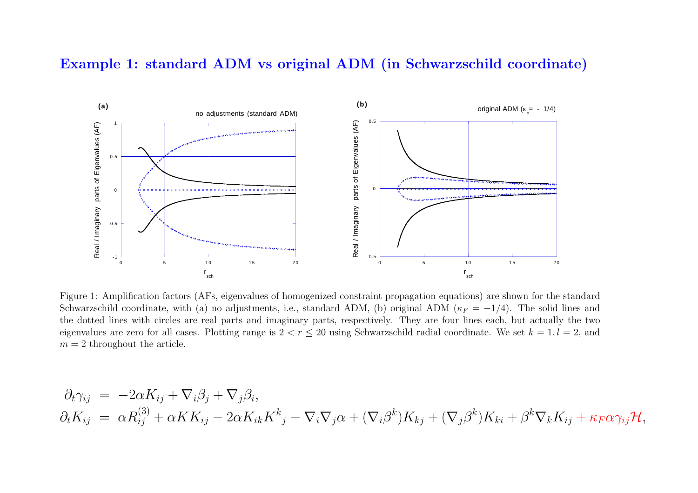#### **Example 1: standard ADM vs original ADM (in Schwarzschild coordinate)**



Figure 1: Amplification factors (AFs, eigenvalues of homogenized constraint propagation equations) are shown for the standard Schwarzschild coordinate, with (a) no adjustments, i.e., standard ADM, (b) original ADM ( $\kappa_F = -1/4$ ). The solid lines and the dotted lines with circles are real parts and imaginary parts, respectively. They are four lines each, but actually the two eigenvalues are zero for all cases. Plotting range is  $2 < r \le 20$  using Schwarzschild radial coordinate. We set  $k = 1, l = 2$ , and  $m = 2$  throughout the article.

$$
\partial_t \gamma_{ij} = -2\alpha K_{ij} + \nabla_i \beta_j + \nabla_j \beta_i,
$$
  
\n
$$
\partial_t K_{ij} = \alpha R_{ij}^{(3)} + \alpha K K_{ij} - 2\alpha K_{ik} K^k{}_j - \nabla_i \nabla_j \alpha + (\nabla_i \beta^k) K_{kj} + (\nabla_j \beta^k) K_{ki} + \beta^k \nabla_k K_{ij} + \kappa_F \alpha \gamma_{ij} \mathcal{H},
$$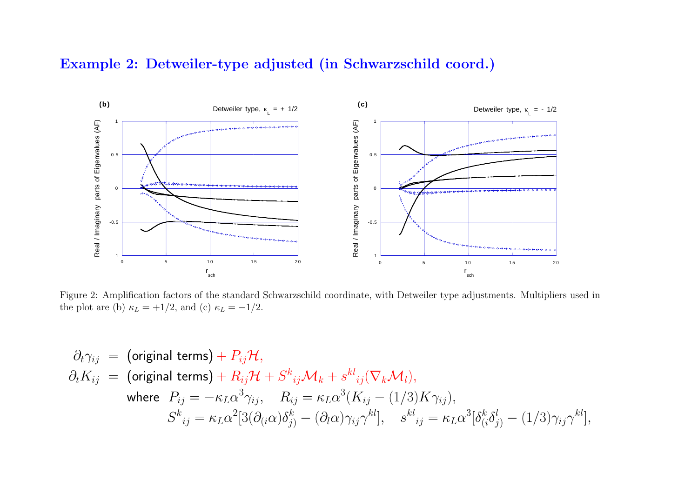### **Example 2: Detweiler-type adjusted (in Schwarzschild coord.)**



Figure 2: Amplification factors of the standard Schwarzschild coordinate, with Detweiler type adjustments. Multipliers used in the plot are (b)  $\kappa_L = +1/2$ , and (c)  $\kappa_L = -1/2$ .

$$
\partial_t \gamma_{ij} = \text{(original terms)} + P_{ij} \mathcal{H},
$$
\n
$$
\partial_t K_{ij} = \text{(original terms)} + R_{ij} \mathcal{H} + S^k_{ij} \mathcal{M}_k + s^{kl}_{ij} (\nabla_k \mathcal{M}_l),
$$
\nwhere  $P_{ij} = -\kappa_L \alpha^3 \gamma_{ij}, \quad R_{ij} = \kappa_L \alpha^3 (K_{ij} - (1/3) K \gamma_{ij}),$ \n
$$
S^k_{\ \ ij} = \kappa_L \alpha^2 [3(\partial_{(i}\alpha)\delta^k_{j)} - (\partial_l \alpha) \gamma_{ij} \gamma^{kl}], \quad s^{kl}_{\ \ ij} = \kappa_L \alpha^3 [\delta^k_{(i}\delta^l_{j)} - (1/3) \gamma_{ij} \gamma^{kl}],
$$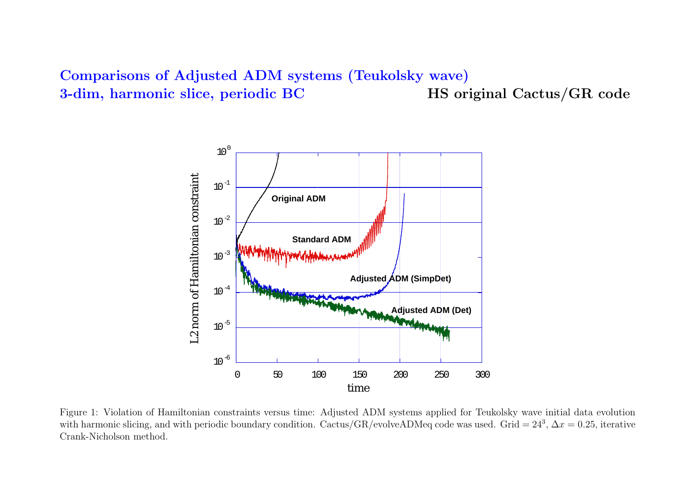### **Comparisons of Adjusted ADM systems (Teukolsky wave) 3-dim, harmonic slice, periodic BC HS original Cactus/GR code**



Figure 1: Violation of Hamiltonian constraints versus time: Adjusted ADM systems applied for Teukolsky wave initial data evolution with harmonic slicing, and with periodic boundary condition. Cactus/GR/evolveADMeq code was used. Grid =  $24^3$ ,  $\Delta x = 0.25$ , iterative Crank-Nicholson method.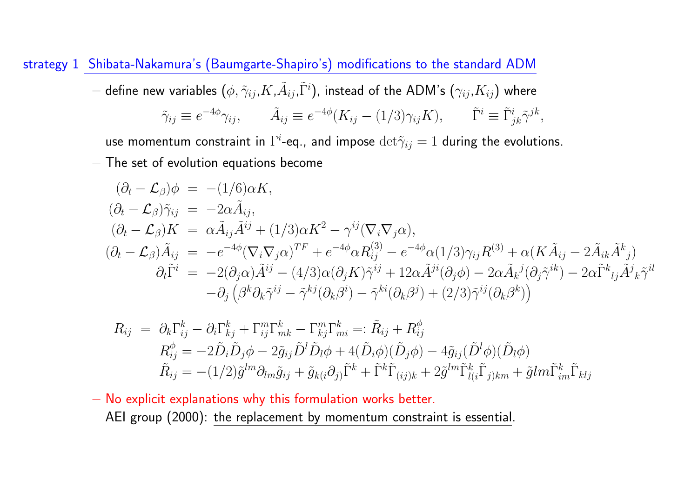strategy <sup>1</sup> Shibata-Nakamura's (Baumgarte-Shapiro's) modifications to the standard ADM

 $-$  define new variables  $(\phi,\tilde\gamma_{ij},K,\tilde A_{ij},\tilde\Gamma^i)$ , instead of the ADM's  $(\gamma_{ij},K_{ij})$  where

$$
\tilde{\gamma}_{ij} \equiv e^{-4\phi} \gamma_{ij}, \qquad \tilde{A}_{ij} \equiv e^{-4\phi} (K_{ij} - (1/3) \gamma_{ij} K), \qquad \tilde{\Gamma}^i \equiv \tilde{\Gamma}^i_{jk} \tilde{\gamma}^{jk},
$$

use momentum constraint in  $\Gamma^i$ -eq., and impose  ${\rm det}\tilde{\gamma}_{ij}=1$  during the evolutions.

**–** The set of evolution equations become

$$
(\partial_t - \mathcal{L}_{\beta})\phi = -(1/6)\alpha K,
$$
  
\n
$$
(\partial_t - \mathcal{L}_{\beta})\tilde{\gamma}_{ij} = -2\alpha \tilde{A}_{ij},
$$
  
\n
$$
(\partial_t - \mathcal{L}_{\beta})K = \alpha \tilde{A}_{ij}\tilde{A}^{ij} + (1/3)\alpha K^2 - \gamma^{ij}(\nabla_i \nabla_j \alpha),
$$
  
\n
$$
(\partial_t - \mathcal{L}_{\beta})\tilde{A}_{ij} = -e^{-4\phi}(\nabla_i \nabla_j \alpha)^{TF} + e^{-4\phi} \alpha R_{ij}^{(3)} - e^{-4\phi} \alpha (1/3)\gamma_{ij}R^{(3)} + \alpha(K\tilde{A}_{ij} - 2\tilde{A}_{ik}\tilde{A}^k)
$$
  
\n
$$
\partial_t \tilde{\Gamma}^i = -2(\partial_j \alpha)\tilde{A}^{ij} - (4/3)\alpha(\partial_j K)\tilde{\gamma}^{ij} + 12\alpha \tilde{A}^{ji}(\partial_j \phi) - 2\alpha \tilde{A}_k{}^j(\partial_j \tilde{\gamma}^{ik}) - 2\alpha \tilde{\Gamma}^k{}_{lj}\tilde{A}^j{}_{k}\tilde{\gamma}^{il}
$$
  
\n
$$
-\partial_j (\beta^k \partial_k \tilde{\gamma}^{ij} - \tilde{\gamma}^{kj}(\partial_k \beta^i) - \tilde{\gamma}^{ki}(\partial_k \beta^j) + (2/3)\tilde{\gamma}^{ij}(\partial_k \beta^k))
$$

$$
R_{ij} = \partial_k \Gamma_{ij}^k - \partial_i \Gamma_{kj}^k + \Gamma_{ij}^m \Gamma_{mk}^k - \Gamma_{kj}^m \Gamma_{mi}^k =: \tilde{R}_{ij} + R_{ij}^\phi
$$
  
\n
$$
R_{ij}^\phi = -2\tilde{D}_i \tilde{D}_j \phi - 2\tilde{g}_{ij} \tilde{D}^l \tilde{D}_l \phi + 4(\tilde{D}_i \phi)(\tilde{D}_j \phi) - 4\tilde{g}_{ij}(\tilde{D}^l \phi)(\tilde{D}_l \phi)
$$
  
\n
$$
\tilde{R}_{ij} = -(1/2)\tilde{g}^{lm} \partial_{lm} \tilde{g}_{ij} + \tilde{g}_{ki} \partial_{jj} \tilde{\Gamma}^k + \tilde{\Gamma}^k \tilde{\Gamma}_{(ij)k} + 2\tilde{g}^{lm} \tilde{\Gamma}_{li}^k \tilde{\Gamma}_{jjkm} + \tilde{g}lm \tilde{\Gamma}_{im}^k \tilde{\Gamma}_{klj}
$$

**–** No explicit explanations why this formulation works better. AEI group (2000): the replacement by momentum constraint is essential.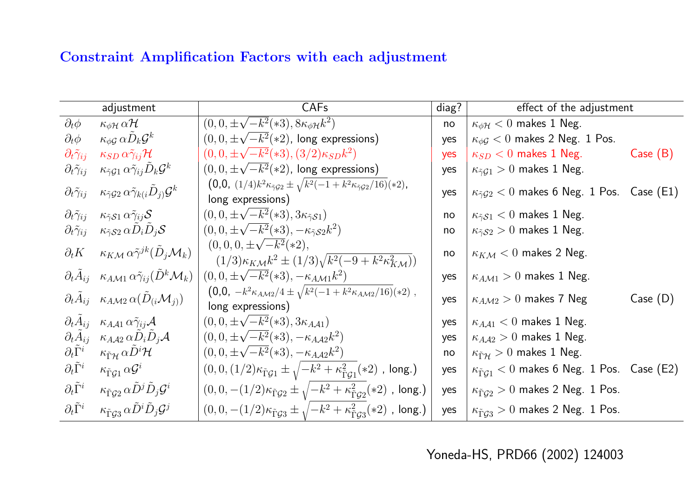### **Constraint Amplification Factors with each adjustment**

|                                  | adjustment                                                                                         | <b>CAFs</b>                                                                                                         |     | effect of the adjustment                                      |          |
|----------------------------------|----------------------------------------------------------------------------------------------------|---------------------------------------------------------------------------------------------------------------------|-----|---------------------------------------------------------------|----------|
| $\partial_t \phi$                | $\kappa_{\phi\mathcal{H}}\,\alpha\mathcal{H}$                                                      | $(0,0,\pm\sqrt{-k^2(*3)},8\kappa_{\phi\mathcal{H}}k^2)$                                                             | no  | $\kappa_{\phi\mathcal{H}} < 0$ makes 1 Neg.                   |          |
| $\partial_t \phi$                | $\kappa_{\phi \mathcal{G}} \, \alpha \tilde{D}_k \mathcal{G}^k$                                    | $(0,0,\pm\sqrt{-k^2}(*2)$ , long expressions)                                                                       | yes | $\kappa_{\phi\mathcal{G}} < 0$ makes 2 Neg. 1 Pos.            |          |
| $\partial_t \tilde \gamma_{ij}$  | $\kappa_{SD} \, \alpha \tilde \gamma_{ij} \mathcal{H}$                                             | $(0,0,\pm\sqrt{-k^2}(*3),(3/2)\kappa_{SD}k^2)$                                                                      | yes | $\kappa_{SD} < 0$ makes 1 Neg.                                | Case (B) |
| $\partial_t \tilde{\gamma}_{ij}$ | $\kappa_{\tilde{\gamma} \mathcal{G} 1} \, \alpha \tilde{\gamma}_{ij} \tilde{D}_k \mathcal{G}^k$    | $(0,0,\pm\sqrt{-k^2(*2})$ , long expressions)                                                                       | yes | $\kappa_{\tilde{\gamma}g_1} > 0$ makes 1 Neg.                 |          |
| $\partial_t \tilde \gamma_{ij}$  | $\kappa_{\tilde{\gamma} \mathcal{G} 2}\, \alpha \tilde{\gamma}_{k(i} \tilde{D}_{j)} \mathcal{G}^k$ | $(0,0, (1/4)k^2\kappa_{\tilde{\gamma}g_2} \pm \sqrt{k^2(-1+k^2\kappa_{\tilde{\gamma}g_2}/16)}(*2),$                 | yes | $\kappa_{\tilde{\gamma}G2}$ < 0 makes 6 Neg. 1 Pos. Case (E1) |          |
|                                  |                                                                                                    | long expressions)                                                                                                   |     |                                                               |          |
| $\partial_t \tilde{\gamma}_{ij}$ | $\kappa_{\tilde{\gamma}S1} \alpha \tilde{\gamma}_{ij} S$                                           | $(0, 0, \pm \sqrt{-k^2}(*3), 3\kappa_{\tilde{\gamma}} s_1)$                                                         | no  | $\kappa_{\tilde{\gamma}S1}$ < 0 makes 1 Neg.                  |          |
| $\partial_t \tilde \gamma_{ij}$  | $\kappa_{\tilde{\gamma} \mathcal{S} 2} \, \alpha D_i \tilde{D}_j \mathcal{S}$                      | $(0,0,\pm\sqrt{-k^2}(*3),-\kappa_{\tilde{\gamma} \mathcal{S} 2} k^2)$                                               | no  | $\kappa_{\tilde{\gamma}S2} > 0$ makes 1 Neg.                  |          |
| $\partial_t K$                   | $\kappa_{K\mathcal{M}} \alpha \tilde{\gamma}^{jk} (\tilde{D}_i \mathcal{M}_k)$                     | $(0,0,0,\pm\sqrt{-k^2}(*2),$<br>$(1/3)\kappa_{K\mathcal{M}}k^2 \pm (1/3)\sqrt{k^2(-9+k^2\kappa_{K\mathcal{M}}^2)})$ | no  | $\kappa_{K\mathcal{M}} < 0$ makes 2 Neg.                      |          |
|                                  | $\partial_t A_{ij}$ $\kappa_{AM1} \alpha \tilde{\gamma}_{ij} (\tilde{D}^k \mathcal{M}_k)$          | $(0,0,\pm\sqrt{-k^2}(*3), -\kappa_{A\mathcal{M}1}k^2)$                                                              | yes | $\kappa_{A\mathcal{M}1} > 0$ makes 1 Neg.                     |          |
|                                  | $\partial_t \tilde{A}_{ij}$ $\kappa_{A\mathcal{M}2} \alpha(\tilde{D}_{(i}\mathcal{M}_j))$          | $(0,0, -k^2 \kappa_{A\mathcal{M}2}/4 \pm \sqrt{k^2(-1+k^2 \kappa_{A\mathcal{M}2}/16)}(*2)$ ,<br>long expressions)   | yes | $\kappa_{A\mathcal{M}2} > 0$ makes 7 Neg                      | Case (D) |
| $\partial_t A_{ij}$              | $\kappa_{A\mathcal{A}1} \alpha \tilde{\gamma}_{ij} \mathcal{A}$                                    | $(0, 0, \pm \sqrt{-k^2}(*3), 3\kappa_{A,A1})$                                                                       | yes | $\kappa_{A\mathcal{A}1} < 0$ makes 1 Neg.                     |          |
| $\partial_t A_{ij}$              | $\kappa_{A\mathcal{A}2} \,\alpha \tilde{D}_i \tilde{D}_j \mathcal{A}$                              | $(0,0,\pm\sqrt{-k^2}(*3), -\kappa_{AA2}k^2)$                                                                        | yes | $\kappa_{A\mathcal{A}2}>0$ makes 1 Neg.                       |          |
| $\partial_t \tilde{\Gamma}^i$    | $\kappa_{\tilde{\Gamma}\mathcal{H}}\,\alpha\tilde{D}^i\mathcal{H}$                                 | $(0, 0, \pm \sqrt{-k^2}(*3), -\kappa_{AA2}k^2)$                                                                     | no  | $\kappa_{\tilde{\Gamma}\mathcal{H}} > 0$ makes 1 Neg.         |          |
| $\partial_t \tilde{\Gamma}^i$    | $\kappa_{\tilde{\Gamma}\mathcal{G} 1}\,\alpha \mathcal{G}^i$                                       | $(0,0,(1/2)\kappa_{\tilde{\Gamma}\mathcal{G}1}\pm\sqrt{-k^2+\kappa_{\tilde{\Gamma}\mathcal{G}1}^2(*2)}$ , long.)    | yes | $\kappa_{\tilde{\Gamma}G1} < 0$ makes 6 Neg. 1 Pos. Case (E2) |          |
| $\partial_t \tilde{\Gamma}^i$    | $\kappa_{\tilde{\Gamma}\mathcal{G}2} \, \alpha \tilde{D}^j \tilde{D}_j \mathcal{G}^i$              | $(0,0,-(1/2)\kappa_{\tilde{\Gamma}\mathcal{G}2} \pm \sqrt{-k^2 + \kappa_{\tilde{\Gamma}\mathcal{G}2}^2(*)$ , long.) | yes | $\kappa_{\tilde{\Gamma}G2} > 0$ makes 2 Neg. 1 Pos.           |          |
| $\partial_t \tilde{\Gamma}^i$    | $\kappa_{\tilde{\Gamma}\mathcal{G}3} \alpha \tilde{D}^i \tilde{D}_j \mathcal{G}^j$                 | $(0,0,-(1/2)\kappa_{\tilde{\Gamma}\mathcal{G}3}\pm\sqrt{-k^2+\kappa_{\tilde{\Gamma}\mathcal{G}3}^2(*2)}$ , long.)   | yes | $\kappa_{\tilde{\Gamma}G3} > 0$ makes 2 Neg. 1 Pos.           |          |

Yoneda-HS, PRD66 (2002) <sup>124003</sup>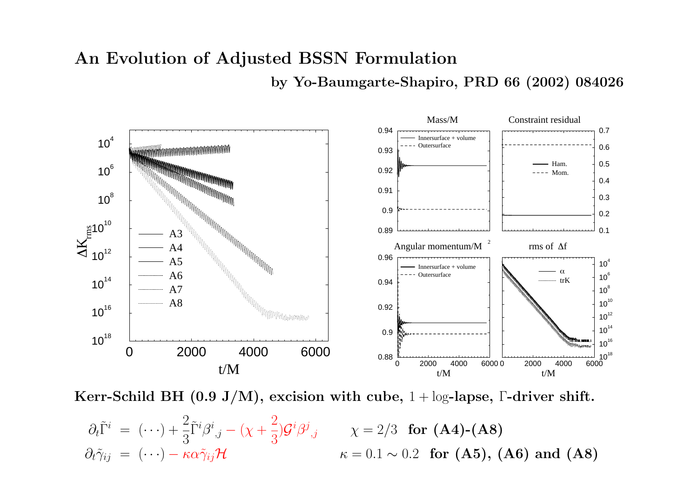# **An Evolution of Adjusted BSSN Formulation by Yo-Baumgarte-Shapiro, PRD <sup>66</sup> (2002) <sup>084026</sup>**



**Kerr-Schild BH (0.9 J/M), excision with cube,** <sup>1</sup> <sup>+</sup> log**-lapse,** Γ**-driver shift.**

$$
\partial_t \tilde{\Gamma}^i = (\cdots) + \frac{2}{3} \tilde{\Gamma}^i \beta^i_{,j} - (\chi + \frac{2}{3}) \mathcal{G}^i \beta^j_{,j} \qquad \chi = 2/3 \text{ for (A4)-(A8)}
$$
  

$$
\partial_t \tilde{\gamma}_{ij} = (\cdots) - \kappa \alpha \tilde{\gamma}_{ij} \mathcal{H} \qquad \qquad \kappa = 0.1 \sim 0.2 \text{ for (A5), (A6) and (A8)}
$$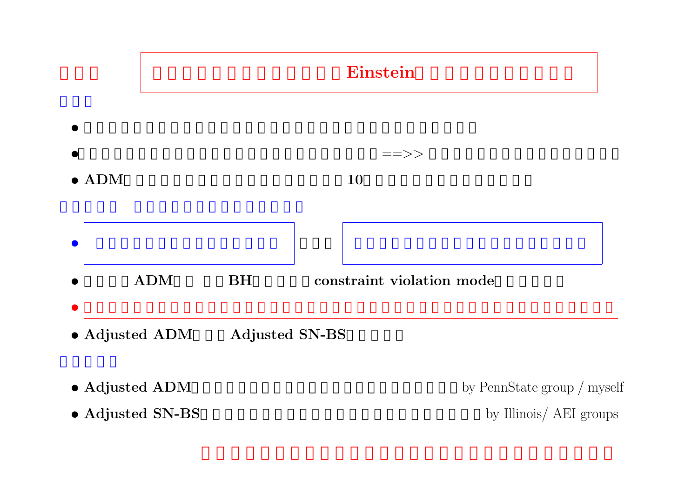